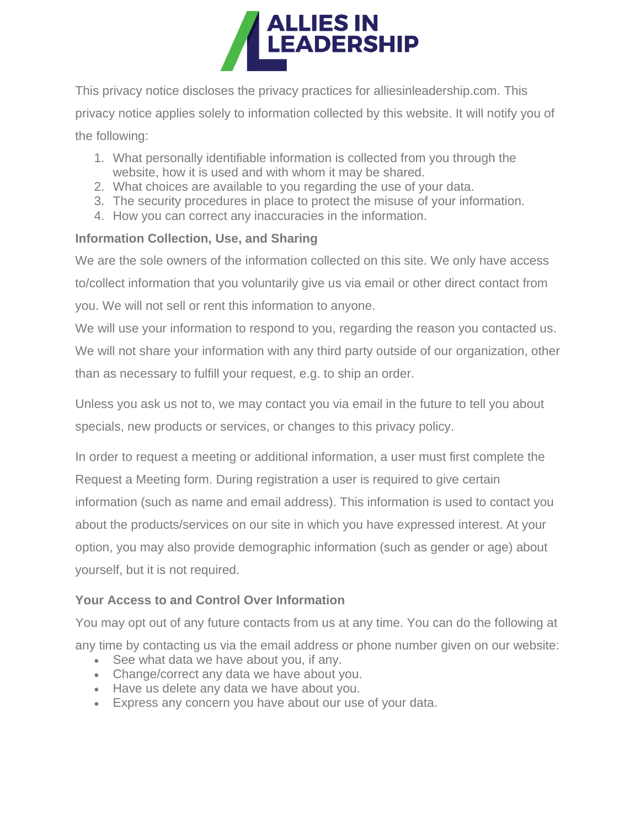

This privacy notice discloses the privacy practices for alliesinleadership.com. This privacy notice applies solely to information collected by this website. It will notify you of the following:

- 1. What personally identifiable information is collected from you through the website, how it is used and with whom it may be shared.
- 2. What choices are available to you regarding the use of your data.
- 3. The security procedures in place to protect the misuse of your information.
- 4. How you can correct any inaccuracies in the information.

## **Information Collection, Use, and Sharing**

We are the sole owners of the information collected on this site. We only have access to/collect information that you voluntarily give us via email or other direct contact from you. We will not sell or rent this information to anyone.

We will use your information to respond to you, regarding the reason you contacted us. We will not share your information with any third party outside of our organization, other than as necessary to fulfill your request, e.g. to ship an order.

Unless you ask us not to, we may contact you via email in the future to tell you about specials, new products or services, or changes to this privacy policy.

In order to request a meeting or additional information, a user must first complete the Request a Meeting form. During registration a user is required to give certain information (such as name and email address). This information is used to contact you about the products/services on our site in which you have expressed interest. At your option, you may also provide demographic information (such as gender or age) about yourself, but it is not required.

## **Your Access to and Control Over Information**

You may opt out of any future contacts from us at any time. You can do the following at any time by contacting us via the email address or phone number given on our website:

- See what data we have about you, if any.
- Change/correct any data we have about you.
- Have us delete any data we have about you.
- Express any concern you have about our use of your data.